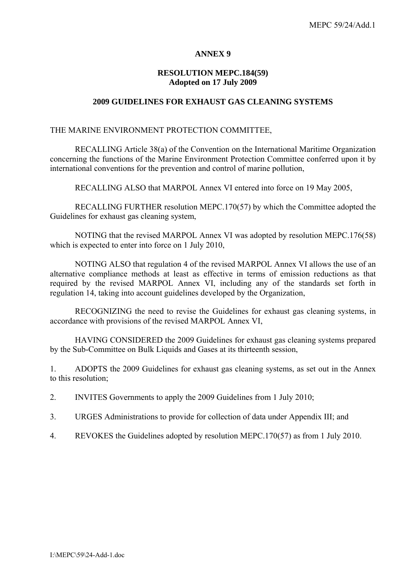## **ANNEX 9**

## **RESOLUTION MEPC.184(59) Adopted on 17 July 2009**

### **2009 GUIDELINES FOR EXHAUST GAS CLEANING SYSTEMS**

#### THE MARINE ENVIRONMENT PROTECTION COMMITTEE,

 RECALLING Article 38(a) of the Convention on the International Maritime Organization concerning the functions of the Marine Environment Protection Committee conferred upon it by international conventions for the prevention and control of marine pollution,

RECALLING ALSO that MARPOL Annex VI entered into force on 19 May 2005,

 RECALLING FURTHER resolution MEPC.170(57) by which the Committee adopted the Guidelines for exhaust gas cleaning system,

 NOTING that the revised MARPOL Annex VI was adopted by resolution MEPC.176(58) which is expected to enter into force on 1 July 2010,

 NOTING ALSO that regulation 4 of the revised MARPOL Annex VI allows the use of an alternative compliance methods at least as effective in terms of emission reductions as that required by the revised MARPOL Annex VI, including any of the standards set forth in regulation 14, taking into account guidelines developed by the Organization,

 RECOGNIZING the need to revise the Guidelines for exhaust gas cleaning systems, in accordance with provisions of the revised MARPOL Annex VI,

 HAVING CONSIDERED the 2009 Guidelines for exhaust gas cleaning systems prepared by the Sub-Committee on Bulk Liquids and Gases at its thirteenth session,

1. ADOPTS the 2009 Guidelines for exhaust gas cleaning systems, as set out in the Annex to this resolution;

2. INVITES Governments to apply the 2009 Guidelines from 1 July 2010;

- 3. URGES Administrations to provide for collection of data under Appendix III; and
- 4. REVOKES the Guidelines adopted by resolution MEPC.170(57) as from 1 July 2010.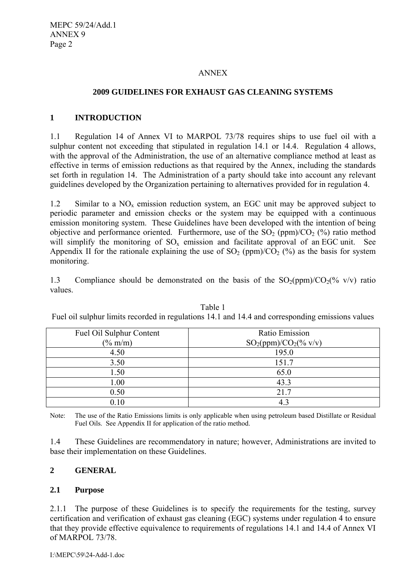### ANNEX

## **2009 GUIDELINES FOR EXHAUST GAS CLEANING SYSTEMS**

## **1 INTRODUCTION**

1.1 Regulation 14 of Annex VI to MARPOL 73/78 requires ships to use fuel oil with a sulphur content not exceeding that stipulated in regulation 14.1 or 14.4. Regulation 4 allows, with the approval of the Administration, the use of an alternative compliance method at least as effective in terms of emission reductions as that required by the Annex, including the standards set forth in regulation 14. The Administration of a party should take into account any relevant guidelines developed by the Organization pertaining to alternatives provided for in regulation 4.

1.2 Similar to a  $NO_x$  emission reduction system, an EGC unit may be approved subject to periodic parameter and emission checks or the system may be equipped with a continuous emission monitoring system. These Guidelines have been developed with the intention of being objective and performance oriented. Furthermore, use of the  $SO<sub>2</sub>$  (ppm)/ $CO<sub>2</sub>$  (%) ratio method will simplify the monitoring of  $SO_x$  emission and facilitate approval of an EGC unit. See Appendix II for the rationale explaining the use of SO<sub>2</sub> (ppm)/CO<sub>2</sub> (%) as the basis for system monitoring.

1.3 Compliance should be demonstrated on the basis of the  $SO_2(ppm)/CO_2(\%$  v/v) ratio values.

| <b>Fuel Oil Sulphur Content</b> | Ratio Emission           |
|---------------------------------|--------------------------|
| $(\% \text{ m/m})$              | $SO_2(ppm)/CO_2(\%$ v/v) |
| 4.50                            | 195.0                    |
| 3.50                            | 151.7                    |
| 1.50                            | 65.0                     |
| 1.00                            | 43.3                     |
| 0.50                            | 21.7                     |
|                                 | 4.2                      |

Table 1 Fuel oil sulphur limits recorded in regulations 14.1 and 14.4 and corresponding emissions values

Note: The use of the Ratio Emissions limits is only applicable when using petroleum based Distillate or Residual Fuel Oils. See Appendix II for application of the ratio method.

1.4 These Guidelines are recommendatory in nature; however, Administrations are invited to base their implementation on these Guidelines.

## **2 GENERAL**

### **2.1 Purpose**

2.1.1 The purpose of these Guidelines is to specify the requirements for the testing, survey certification and verification of exhaust gas cleaning (EGC) systems under regulation 4 to ensure that they provide effective equivalence to requirements of regulations 14.1 and 14.4 of Annex VI of MARPOL 73/78.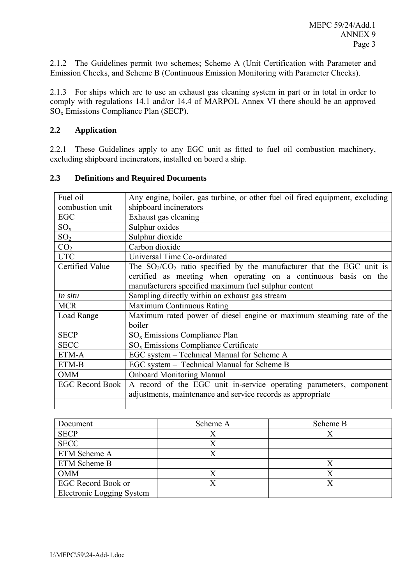2.1.2 The Guidelines permit two schemes; Scheme A (Unit Certification with Parameter and Emission Checks, and Scheme B (Continuous Emission Monitoring with Parameter Checks).

2.1.3 For ships which are to use an exhaust gas cleaning system in part or in total in order to comply with regulations 14.1 and/or 14.4 of MARPOL Annex VI there should be an approved SOx Emissions Compliance Plan (SECP).

## **2.2 Application**

2.2.1 These Guidelines apply to any EGC unit as fitted to fuel oil combustion machinery, excluding shipboard incinerators, installed on board a ship.

| Fuel oil               | Any engine, boiler, gas turbine, or other fuel oil fired equipment, excluding |
|------------------------|-------------------------------------------------------------------------------|
| combustion unit        | shipboard incinerators                                                        |
| <b>EGC</b>             | Exhaust gas cleaning                                                          |
| $SO_{x}$               | Sulphur oxides                                                                |
| SO <sub>2</sub>        | Sulphur dioxide                                                               |
| CO <sub>2</sub>        | Carbon dioxide                                                                |
| <b>UTC</b>             | Universal Time Co-ordinated                                                   |
| Certified Value        | The $SO_2/CO_2$ ratio specified by the manufacturer that the EGC unit is      |
|                        | certified as meeting when operating on a continuous basis on the              |
|                        | manufacturers specified maximum fuel sulphur content                          |
| In situ                | Sampling directly within an exhaust gas stream                                |
| <b>MCR</b>             | <b>Maximum Continuous Rating</b>                                              |
| Load Range             | Maximum rated power of diesel engine or maximum steaming rate of the          |
|                        | boiler                                                                        |
| <b>SECP</b>            | $SOx$ Emissions Compliance Plan                                               |
| <b>SECC</b>            | SO <sub>x</sub> Emissions Compliance Certificate                              |
| ETM-A                  | EGC system - Technical Manual for Scheme A                                    |
| ETM-B                  | EGC system - Technical Manual for Scheme B                                    |
| <b>OMM</b>             | <b>Onboard Monitoring Manual</b>                                              |
| <b>EGC Record Book</b> | A record of the EGC unit in-service operating parameters, component           |
|                        | adjustments, maintenance and service records as appropriate                   |
|                        |                                                                               |

### **2.3 Definitions and Required Documents**

| Document                  | Scheme A | Scheme B |
|---------------------------|----------|----------|
| <b>SECP</b>               |          |          |
| <b>SECC</b>               |          |          |
| ETM Scheme A              |          |          |
| ETM Scheme B              |          |          |
| <b>OMM</b>                |          |          |
| EGC Record Book or        |          |          |
| Electronic Logging System |          |          |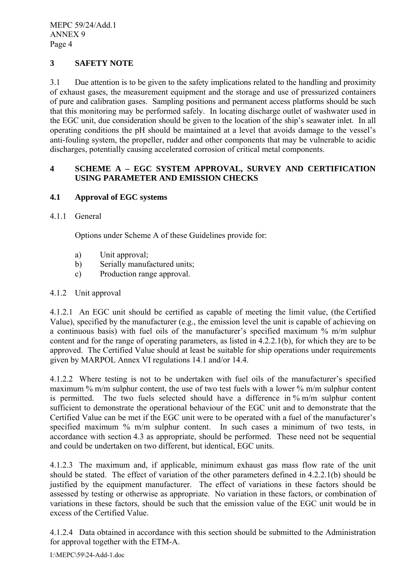## **3 SAFETY NOTE**

3.1 Due attention is to be given to the safety implications related to the handling and proximity of exhaust gases, the measurement equipment and the storage and use of pressurized containers of pure and calibration gases. Sampling positions and permanent access platforms should be such that this monitoring may be performed safely. In locating discharge outlet of washwater used in the EGC unit, due consideration should be given to the location of the ship's seawater inlet. In all operating conditions the pH should be maintained at a level that avoids damage to the vessel's anti-fouling system, the propeller, rudder and other components that may be vulnerable to acidic discharges, potentially causing accelerated corrosion of critical metal components.

# **4 SCHEME A – EGC SYSTEM APPROVAL, SURVEY AND CERTIFICATION USING PARAMETER AND EMISSION CHECKS**

## **4.1 Approval of EGC systems**

### 4.1.1 General

Options under Scheme A of these Guidelines provide for:

- a) Unit approval;
- b) Serially manufactured units;
- c) Production range approval.

### 4.1.2 Unit approval

4.1.2.1 An EGC unit should be certified as capable of meeting the limit value, (the Certified Value), specified by the manufacturer (e.g., the emission level the unit is capable of achieving on a continuous basis) with fuel oils of the manufacturer's specified maximum % m/m sulphur content and for the range of operating parameters, as listed in 4.2.2.1(b), for which they are to be approved. The Certified Value should at least be suitable for ship operations under requirements given by MARPOL Annex VI regulations 14.1 and/or 14.4.

4.1.2.2 Where testing is not to be undertaken with fuel oils of the manufacturer's specified maximum % m/m sulphur content, the use of two test fuels with a lower % m/m sulphur content is permitted. The two fuels selected should have a difference in % m/m sulphur content sufficient to demonstrate the operational behaviour of the EGC unit and to demonstrate that the Certified Value can be met if the EGC unit were to be operated with a fuel of the manufacturer's specified maximum % m/m sulphur content. In such cases a minimum of two tests, in accordance with section 4.3 as appropriate, should be performed. These need not be sequential and could be undertaken on two different, but identical, EGC units.

4.1.2.3 The maximum and, if applicable, minimum exhaust gas mass flow rate of the unit should be stated. The effect of variation of the other parameters defined in 4.2.2.1(b) should be justified by the equipment manufacturer. The effect of variations in these factors should be assessed by testing or otherwise as appropriate. No variation in these factors, or combination of variations in these factors, should be such that the emission value of the EGC unit would be in excess of the Certified Value.

4.1.2.4 Data obtained in accordance with this section should be submitted to the Administration for approval together with the ETM-A.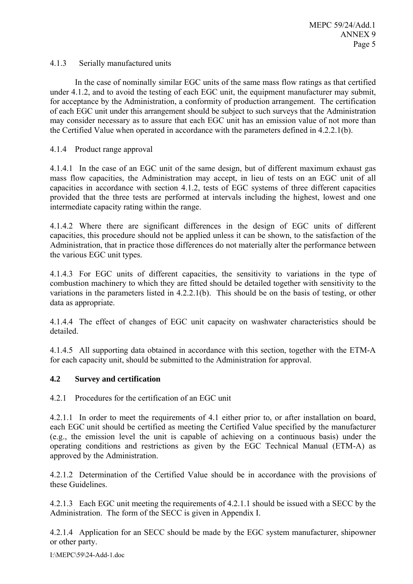## 4.1.3 Serially manufactured units

 In the case of nominally similar EGC units of the same mass flow ratings as that certified under 4.1.2, and to avoid the testing of each EGC unit, the equipment manufacturer may submit, for acceptance by the Administration, a conformity of production arrangement. The certification of each EGC unit under this arrangement should be subject to such surveys that the Administration may consider necessary as to assure that each EGC unit has an emission value of not more than the Certified Value when operated in accordance with the parameters defined in 4.2.2.1(b).

## 4.1.4 Product range approval

4.1.4.1 In the case of an EGC unit of the same design, but of different maximum exhaust gas mass flow capacities, the Administration may accept, in lieu of tests on an EGC unit of all capacities in accordance with section 4.1.2, tests of EGC systems of three different capacities provided that the three tests are performed at intervals including the highest, lowest and one intermediate capacity rating within the range.

4.1.4.2 Where there are significant differences in the design of EGC units of different capacities, this procedure should not be applied unless it can be shown, to the satisfaction of the Administration, that in practice those differences do not materially alter the performance between the various EGC unit types.

4.1.4.3 For EGC units of different capacities, the sensitivity to variations in the type of combustion machinery to which they are fitted should be detailed together with sensitivity to the variations in the parameters listed in 4.2.2.1(b). This should be on the basis of testing, or other data as appropriate.

4.1.4.4 The effect of changes of EGC unit capacity on washwater characteristics should be detailed.

4.1.4.5 All supporting data obtained in accordance with this section, together with the ETM-A for each capacity unit, should be submitted to the Administration for approval.

## **4.2 Survey and certification**

4.2.1 Procedures for the certification of an EGC unit

4.2.1.1 In order to meet the requirements of 4.1 either prior to, or after installation on board, each EGC unit should be certified as meeting the Certified Value specified by the manufacturer (e.g., the emission level the unit is capable of achieving on a continuous basis) under the operating conditions and restrictions as given by the EGC Technical Manual (ETM-A) as approved by the Administration.

4.2.1.2 Determination of the Certified Value should be in accordance with the provisions of these Guidelines.

4.2.1.3 Each EGC unit meeting the requirements of 4.2.1.1 should be issued with a SECC by the Administration. The form of the SECC is given in Appendix I.

4.2.1.4 Application for an SECC should be made by the EGC system manufacturer, shipowner or other party.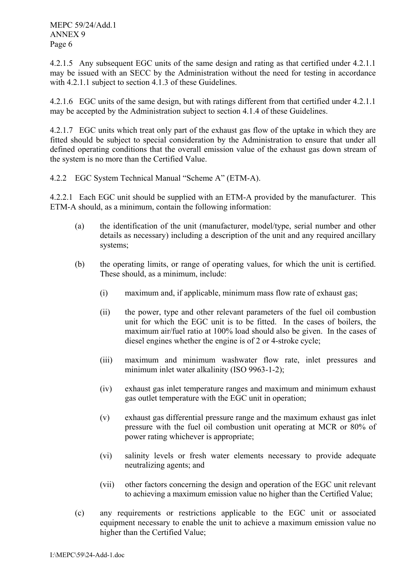4.2.1.5 Any subsequent EGC units of the same design and rating as that certified under 4.2.1.1 may be issued with an SECC by the Administration without the need for testing in accordance with 4.2.1.1 subject to section 4.1.3 of these Guidelines.

4.2.1.6 EGC units of the same design, but with ratings different from that certified under 4.2.1.1 may be accepted by the Administration subject to section 4.1.4 of these Guidelines.

4.2.1.7 EGC units which treat only part of the exhaust gas flow of the uptake in which they are fitted should be subject to special consideration by the Administration to ensure that under all defined operating conditions that the overall emission value of the exhaust gas down stream of the system is no more than the Certified Value.

4.2.2 EGC System Technical Manual "Scheme A" (ETM-A).

4.2.2.1 Each EGC unit should be supplied with an ETM-A provided by the manufacturer. This ETM-A should, as a minimum, contain the following information:

- (a) the identification of the unit (manufacturer, model/type, serial number and other details as necessary) including a description of the unit and any required ancillary systems;
- (b) the operating limits, or range of operating values, for which the unit is certified. These should, as a minimum, include:
	- (i) maximum and, if applicable, minimum mass flow rate of exhaust gas;
	- (ii) the power, type and other relevant parameters of the fuel oil combustion unit for which the EGC unit is to be fitted. In the cases of boilers, the maximum air/fuel ratio at 100% load should also be given. In the cases of diesel engines whether the engine is of 2 or 4-stroke cycle;
	- (iii) maximum and minimum washwater flow rate, inlet pressures and minimum inlet water alkalinity (ISO 9963-1-2);
	- (iv) exhaust gas inlet temperature ranges and maximum and minimum exhaust gas outlet temperature with the EGC unit in operation;
	- (v) exhaust gas differential pressure range and the maximum exhaust gas inlet pressure with the fuel oil combustion unit operating at MCR or 80% of power rating whichever is appropriate;
	- (vi) salinity levels or fresh water elements necessary to provide adequate neutralizing agents; and
	- (vii) other factors concerning the design and operation of the EGC unit relevant to achieving a maximum emission value no higher than the Certified Value;
- (c) any requirements or restrictions applicable to the EGC unit or associated equipment necessary to enable the unit to achieve a maximum emission value no higher than the Certified Value;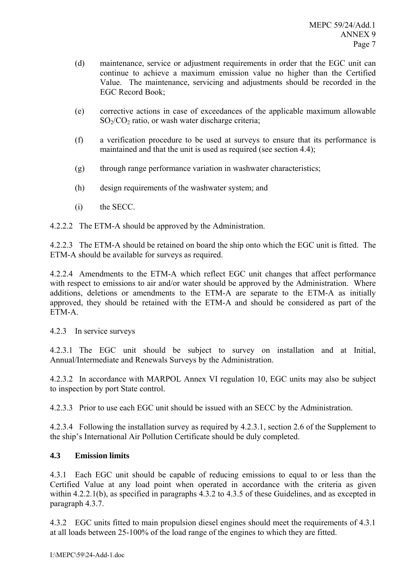- (d) maintenance, service or adjustment requirements in order that the EGC unit can continue to achieve a maximum emission value no higher than the Certified Value. The maintenance, servicing and adjustments should be recorded in the EGC Record Book;
- (e) corrective actions in case of exceedances of the applicable maximum allowable  $SO<sub>2</sub>/CO<sub>2</sub>$  ratio, or wash water discharge criteria;
- (f) a verification procedure to be used at surveys to ensure that its performance is maintained and that the unit is used as required (see section 4.4);
- (g) through range performance variation in washwater characteristics;
- (h) design requirements of the washwater system; and
- (i) the SECC.

4.2.2.2 The ETM-A should be approved by the Administration.

4.2.2.3 The ETM-A should be retained on board the ship onto which the EGC unit is fitted. The ETM-A should be available for surveys as required.

4.2.2.4 Amendments to the ETM-A which reflect EGC unit changes that affect performance with respect to emissions to air and/or water should be approved by the Administration. Where additions, deletions or amendments to the ETM-A are separate to the ETM-A as initially approved, they should be retained with the ETM-A and should be considered as part of the ETM-A.

4.2.3 In service surveys

4.2.3.1 The EGC unit should be subject to survey on installation and at Initial, Annual/Intermediate and Renewals Surveys by the Administration.

4.2.3.2 In accordance with MARPOL Annex VI regulation 10, EGC units may also be subject to inspection by port State control.

4.2.3.3 Prior to use each EGC unit should be issued with an SECC by the Administration.

4.2.3.4 Following the installation survey as required by 4.2.3.1, section 2.6 of the Supplement to the ship's International Air Pollution Certificate should be duly completed.

## **4.3 Emission limits**

4.3.1 Each EGC unit should be capable of reducing emissions to equal to or less than the Certified Value at any load point when operated in accordance with the criteria as given within 4.2.2.1(b), as specified in paragraphs 4.3.2 to 4.3.5 of these Guidelines, and as excepted in paragraph 4.3.7.

4.3.2 EGC units fitted to main propulsion diesel engines should meet the requirements of 4.3.1 at all loads between 25-100% of the load range of the engines to which they are fitted.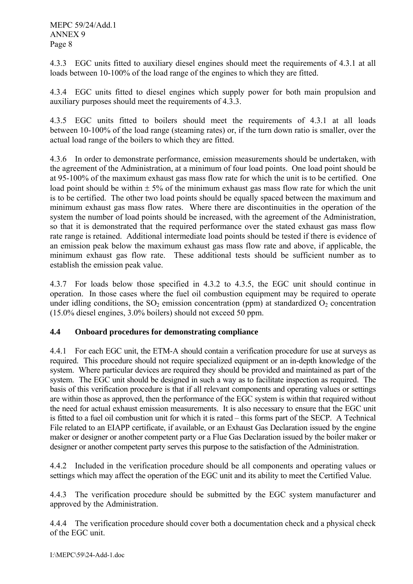4.3.3 EGC units fitted to auxiliary diesel engines should meet the requirements of 4.3.1 at all loads between 10-100% of the load range of the engines to which they are fitted.

4.3.4 EGC units fitted to diesel engines which supply power for both main propulsion and auxiliary purposes should meet the requirements of 4.3.3.

4.3.5 EGC units fitted to boilers should meet the requirements of 4.3.1 at all loads between 10-100% of the load range (steaming rates) or, if the turn down ratio is smaller, over the actual load range of the boilers to which they are fitted.

4.3.6 In order to demonstrate performance, emission measurements should be undertaken, with the agreement of the Administration, at a minimum of four load points. One load point should be at 95-100% of the maximum exhaust gas mass flow rate for which the unit is to be certified. One load point should be within  $\pm$  5% of the minimum exhaust gas mass flow rate for which the unit is to be certified. The other two load points should be equally spaced between the maximum and minimum exhaust gas mass flow rates. Where there are discontinuities in the operation of the system the number of load points should be increased, with the agreement of the Administration, so that it is demonstrated that the required performance over the stated exhaust gas mass flow rate range is retained. Additional intermediate load points should be tested if there is evidence of an emission peak below the maximum exhaust gas mass flow rate and above, if applicable, the minimum exhaust gas flow rate. These additional tests should be sufficient number as to establish the emission peak value.

4.3.7 For loads below those specified in 4.3.2 to 4.3.5, the EGC unit should continue in operation. In those cases where the fuel oil combustion equipment may be required to operate under idling conditions, the  $SO<sub>2</sub>$  emission concentration (ppm) at standardized  $O<sub>2</sub>$  concentration (15.0% diesel engines, 3.0% boilers) should not exceed 50 ppm.

## **4.4 Onboard procedures for demonstrating compliance**

4.4.1 For each EGC unit, the ETM-A should contain a verification procedure for use at surveys as required. This procedure should not require specialized equipment or an in-depth knowledge of the system. Where particular devices are required they should be provided and maintained as part of the system. The EGC unit should be designed in such a way as to facilitate inspection as required. The basis of this verification procedure is that if all relevant components and operating values or settings are within those as approved, then the performance of the EGC system is within that required without the need for actual exhaust emission measurements. It is also necessary to ensure that the EGC unit is fitted to a fuel oil combustion unit for which it is rated – this forms part of the SECP. A Technical File related to an EIAPP certificate, if available, or an Exhaust Gas Declaration issued by the engine maker or designer or another competent party or a Flue Gas Declaration issued by the boiler maker or designer or another competent party serves this purpose to the satisfaction of the Administration.

4.4.2 Included in the verification procedure should be all components and operating values or settings which may affect the operation of the EGC unit and its ability to meet the Certified Value.

4.4.3 The verification procedure should be submitted by the EGC system manufacturer and approved by the Administration.

4.4.4 The verification procedure should cover both a documentation check and a physical check of the EGC unit.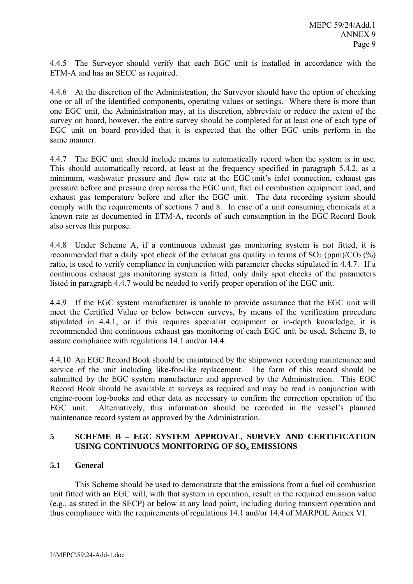4.4.5 The Surveyor should verify that each EGC unit is installed in accordance with the ETM-A and has an SECC as required.

4.4.6 At the discretion of the Administration, the Surveyor should have the option of checking one or all of the identified components, operating values or settings. Where there is more than one EGC unit, the Administration may, at its discretion, abbreviate or reduce the extent of the survey on board, however, the entire survey should be completed for at least one of each type of EGC unit on board provided that it is expected that the other EGC units perform in the same manner.

4.4.7 The EGC unit should include means to automatically record when the system is in use. This should automatically record, at least at the frequency specified in paragraph 5.4.2, as a minimum, washwater pressure and flow rate at the EGC unit's inlet connection, exhaust gas pressure before and pressure drop across the EGC unit, fuel oil combustion equipment load, and exhaust gas temperature before and after the EGC unit. The data recording system should comply with the requirements of sections 7 and 8. In case of a unit consuming chemicals at a known rate as documented in ETM-A, records of such consumption in the EGC Record Book also serves this purpose.

4.4.8 Under Scheme A, if a continuous exhaust gas monitoring system is not fitted, it is recommended that a daily spot check of the exhaust gas quality in terms of  $SO_2$  (ppm)/ $CO_2$  (%) ratio, is used to verify compliance in conjunction with parameter checks stipulated in 4.4.7. If a continuous exhaust gas monitoring system is fitted, only daily spot checks of the parameters listed in paragraph 4.4.7 would be needed to verify proper operation of the EGC unit.

4.4.9 If the EGC system manufacturer is unable to provide assurance that the EGC unit will meet the Certified Value or below between surveys, by means of the verification procedure stipulated in 4.4.1, or if this requires specialist equipment or in-depth knowledge, it is recommended that continuous exhaust gas monitoring of each EGC unit be used, Scheme B, to assure compliance with regulations 14.1 and/or 14.4.

4.4.10 An EGC Record Book should be maintained by the shipowner recording maintenance and service of the unit including like-for-like replacement. The form of this record should be submitted by the EGC system manufacturer and approved by the Administration. This EGC Record Book should be available at surveys as required and may be read in conjunction with engine-room log-books and other data as necessary to confirm the correction operation of the EGC unit. Alternatively, this information should be recorded in the vessel's planned maintenance record system as approved by the Administration.

## **5 SCHEME B – EGC SYSTEM APPROVAL, SURVEY AND CERTIFICATION**  USING CONTINUOUS MONITORING OF SO<sub>x</sub> EMISSIONS

## **5.1 General**

 This Scheme should be used to demonstrate that the emissions from a fuel oil combustion unit fitted with an EGC will, with that system in operation, result in the required emission value (e.g., as stated in the SECP) or below at any load point, including during transient operation and thus compliance with the requirements of regulations 14.1 and/or 14.4 of MARPOL Annex VI.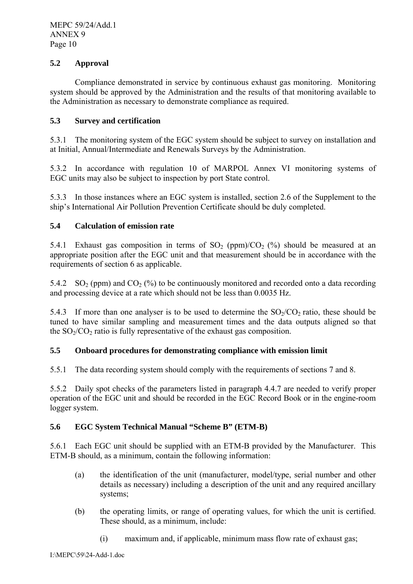## **5.2 Approval**

 Compliance demonstrated in service by continuous exhaust gas monitoring. Monitoring system should be approved by the Administration and the results of that monitoring available to the Administration as necessary to demonstrate compliance as required.

## **5.3 Survey and certification**

5.3.1 The monitoring system of the EGC system should be subject to survey on installation and at Initial, Annual/Intermediate and Renewals Surveys by the Administration.

5.3.2 In accordance with regulation 10 of MARPOL Annex VI monitoring systems of EGC units may also be subject to inspection by port State control.

5.3.3 In those instances where an EGC system is installed, section 2.6 of the Supplement to the ship's International Air Pollution Prevention Certificate should be duly completed.

## **5.4 Calculation of emission rate**

5.4.1 Exhaust gas composition in terms of  $SO_2$  (ppm)/ $CO_2$  (%) should be measured at an appropriate position after the EGC unit and that measurement should be in accordance with the requirements of section 6 as applicable.

5.4.2 SO<sub>2</sub> (ppm) and CO<sub>2</sub> (%) to be continuously monitored and recorded onto a data recording and processing device at a rate which should not be less than 0.0035 Hz.

5.4.3 If more than one analyser is to be used to determine the  $SO<sub>2</sub>/CO<sub>2</sub>$  ratio, these should be tuned to have similar sampling and measurement times and the data outputs aligned so that the  $SO<sub>2</sub>/CO<sub>2</sub>$  ratio is fully representative of the exhaust gas composition.

## **5.5 Onboard procedures for demonstrating compliance with emission limit**

5.5.1 The data recording system should comply with the requirements of sections 7 and 8.

5.5.2 Daily spot checks of the parameters listed in paragraph 4.4.7 are needed to verify proper operation of the EGC unit and should be recorded in the EGC Record Book or in the engine-room logger system.

## **5.6 EGC System Technical Manual "Scheme B" (ETM-B)**

5.6.1 Each EGC unit should be supplied with an ETM-B provided by the Manufacturer. This ETM-B should, as a minimum, contain the following information:

- (a) the identification of the unit (manufacturer, model/type, serial number and other details as necessary) including a description of the unit and any required ancillary systems;
- (b) the operating limits, or range of operating values, for which the unit is certified. These should, as a minimum, include:
	- (i) maximum and, if applicable, minimum mass flow rate of exhaust gas;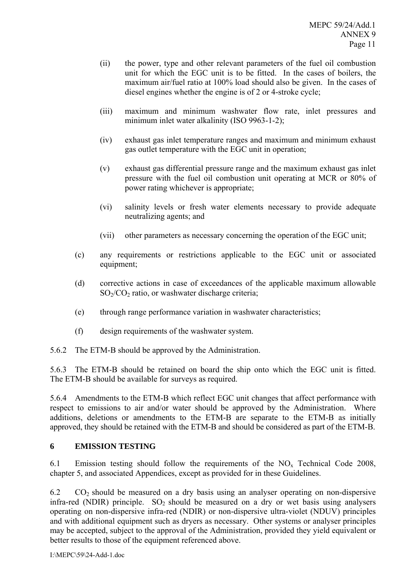- (ii) the power, type and other relevant parameters of the fuel oil combustion unit for which the EGC unit is to be fitted. In the cases of boilers, the maximum air/fuel ratio at 100% load should also be given. In the cases of diesel engines whether the engine is of 2 or 4-stroke cycle;
- (iii) maximum and minimum washwater flow rate, inlet pressures and minimum inlet water alkalinity (ISO 9963-1-2);
- (iv) exhaust gas inlet temperature ranges and maximum and minimum exhaust gas outlet temperature with the EGC unit in operation;
- (v) exhaust gas differential pressure range and the maximum exhaust gas inlet pressure with the fuel oil combustion unit operating at MCR or 80% of power rating whichever is appropriate;
- (vi) salinity levels or fresh water elements necessary to provide adequate neutralizing agents; and
- (vii) other parameters as necessary concerning the operation of the EGC unit;
- (c) any requirements or restrictions applicable to the EGC unit or associated equipment;
- (d) corrective actions in case of exceedances of the applicable maximum allowable  $SO<sub>2</sub>/CO<sub>2</sub>$  ratio, or washwater discharge criteria;
- (e) through range performance variation in washwater characteristics;
- (f) design requirements of the washwater system.
- 5.6.2 The ETM-B should be approved by the Administration.

5.6.3 The ETM-B should be retained on board the ship onto which the EGC unit is fitted. The ETM-B should be available for surveys as required.

5.6.4 Amendments to the ETM-B which reflect EGC unit changes that affect performance with respect to emissions to air and/or water should be approved by the Administration. Where additions, deletions or amendments to the ETM-B are separate to the ETM-B as initially approved, they should be retained with the ETM-B and should be considered as part of the ETM-B.

## **6 EMISSION TESTING**

6.1 Emission testing should follow the requirements of the  $NO<sub>x</sub>$  Technical Code 2008, chapter 5, and associated Appendices, except as provided for in these Guidelines.

6.2  $CO<sub>2</sub>$  should be measured on a dry basis using an analyser operating on non-dispersive infra-red (NDIR) principle.  $SO_2$  should be measured on a dry or wet basis using analysers operating on non-dispersive infra-red (NDIR) or non-dispersive ultra-violet (NDUV) principles and with additional equipment such as dryers as necessary. Other systems or analyser principles may be accepted, subject to the approval of the Administration, provided they yield equivalent or better results to those of the equipment referenced above.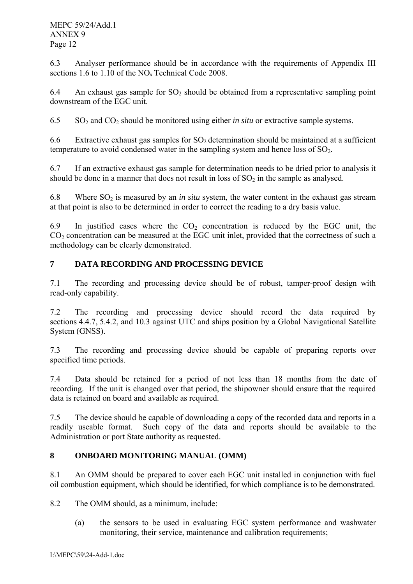6.3 Analyser performance should be in accordance with the requirements of Appendix III sections  $1.6$  to  $1.10$  of the NO<sub>x</sub> Technical Code 2008.

6.4 An exhaust gas sample for  $SO_2$  should be obtained from a representative sampling point downstream of the EGC unit.

6.5 SO2 and CO2 should be monitored using either *in situ* or extractive sample systems.

6.6 Extractive exhaust gas samples for  $SO<sub>2</sub>$  determination should be maintained at a sufficient temperature to avoid condensed water in the sampling system and hence loss of  $SO<sub>2</sub>$ .

6.7 If an extractive exhaust gas sample for determination needs to be dried prior to analysis it should be done in a manner that does not result in loss of  $SO<sub>2</sub>$  in the sample as analysed.

6.8 Where  $SO_2$  is measured by an *in situ* system, the water content in the exhaust gas stream at that point is also to be determined in order to correct the reading to a dry basis value.

6.9 In justified cases where the  $CO<sub>2</sub>$  concentration is reduced by the EGC unit, the  $CO<sub>2</sub>$  concentration can be measured at the EGC unit inlet, provided that the correctness of such a methodology can be clearly demonstrated.

# **7 DATA RECORDING AND PROCESSING DEVICE**

7.1 The recording and processing device should be of robust, tamper-proof design with read-only capability.

7.2 The recording and processing device should record the data required by sections 4.4.7, 5.4.2, and 10.3 against UTC and ships position by a Global Navigational Satellite System (GNSS).

7.3 The recording and processing device should be capable of preparing reports over specified time periods.

7.4 Data should be retained for a period of not less than 18 months from the date of recording. If the unit is changed over that period, the shipowner should ensure that the required data is retained on board and available as required.

7.5 The device should be capable of downloading a copy of the recorded data and reports in a readily useable format. Such copy of the data and reports should be available to the Administration or port State authority as requested.

# **8 ONBOARD MONITORING MANUAL (OMM)**

8.1 An OMM should be prepared to cover each EGC unit installed in conjunction with fuel oil combustion equipment, which should be identified, for which compliance is to be demonstrated.

8.2 The OMM should, as a minimum, include:

(a) the sensors to be used in evaluating EGC system performance and washwater monitoring, their service, maintenance and calibration requirements;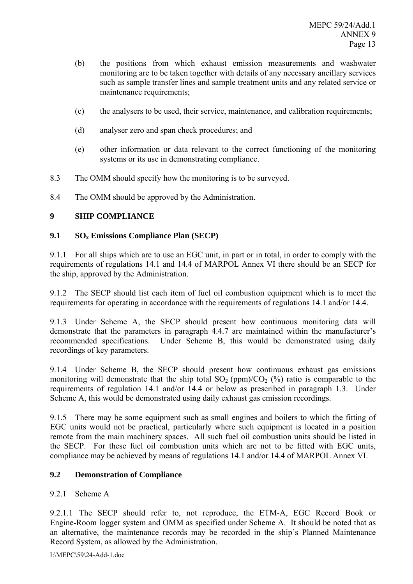- (b) the positions from which exhaust emission measurements and washwater monitoring are to be taken together with details of any necessary ancillary services such as sample transfer lines and sample treatment units and any related service or maintenance requirements;
- (c) the analysers to be used, their service, maintenance, and calibration requirements;
- (d) analyser zero and span check procedures; and
- (e) other information or data relevant to the correct functioning of the monitoring systems or its use in demonstrating compliance.
- 8.3 The OMM should specify how the monitoring is to be surveyed.
- 8.4 The OMM should be approved by the Administration.

# **9 SHIP COMPLIANCE**

## **9.1 SOx Emissions Compliance Plan (SECP)**

9.1.1 For all ships which are to use an EGC unit, in part or in total, in order to comply with the requirements of regulations 14.1 and 14.4 of MARPOL Annex VI there should be an SECP for the ship, approved by the Administration.

9.1.2 The SECP should list each item of fuel oil combustion equipment which is to meet the requirements for operating in accordance with the requirements of regulations 14.1 and/or 14.4.

9.1.3 Under Scheme A, the SECP should present how continuous monitoring data will demonstrate that the parameters in paragraph 4.4.7 are maintained within the manufacturer's recommended specifications. Under Scheme B, this would be demonstrated using daily recordings of key parameters.

9.1.4 Under Scheme B, the SECP should present how continuous exhaust gas emissions monitoring will demonstrate that the ship total  $SO<sub>2</sub>$  (ppm)/ $CO<sub>2</sub>$  (%) ratio is comparable to the requirements of regulation 14.1 and/or 14.4 or below as prescribed in paragraph 1.3. Under Scheme A, this would be demonstrated using daily exhaust gas emission recordings.

9.1.5 There may be some equipment such as small engines and boilers to which the fitting of EGC units would not be practical, particularly where such equipment is located in a position remote from the main machinery spaces. All such fuel oil combustion units should be listed in the SECP. For these fuel oil combustion units which are not to be fitted with EGC units, compliance may be achieved by means of regulations 14.1 and/or 14.4 of MARPOL Annex VI.

## **9.2 Demonstration of Compliance**

# 9.2.1 Scheme A

9.2.1.1 The SECP should refer to, not reproduce, the ETM-A, EGC Record Book or Engine-Room logger system and OMM as specified under Scheme A. It should be noted that as an alternative, the maintenance records may be recorded in the ship's Planned Maintenance Record System, as allowed by the Administration.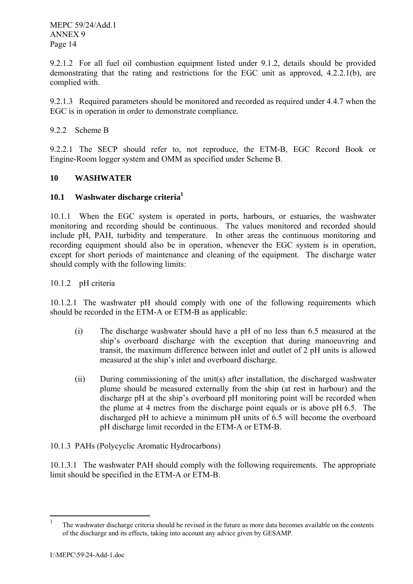9.2.1.2 For all fuel oil combustion equipment listed under 9.1.2, details should be provided demonstrating that the rating and restrictions for the EGC unit as approved, 4.2.2.1(b), are complied with.

9.2.1.3 Required parameters should be monitored and recorded as required under 4.4.7 when the EGC is in operation in order to demonstrate compliance.

9.2.2 Scheme B

9.2.2.1 The SECP should refer to, not reproduce, the ETM-B, EGC Record Book or Engine-Room logger system and OMM as specified under Scheme B.

## **10 WASHWATER**

# **10.1 Washwater discharge criteria1**

10.1.1 When the EGC system is operated in ports, harbours, or estuaries, the washwater monitoring and recording should be continuous. The values monitored and recorded should include pH, PAH, turbidity and temperature. In other areas the continuous monitoring and recording equipment should also be in operation, whenever the EGC system is in operation, except for short periods of maintenance and cleaning of the equipment. The discharge water should comply with the following limits:

10.1.2 pH criteria

10.1.2.1 The washwater pH should comply with one of the following requirements which should be recorded in the ETM-A or ETM-B as applicable:

- (i) The discharge washwater should have a pH of no less than 6.5 measured at the ship's overboard discharge with the exception that during manoeuvring and transit, the maximum difference between inlet and outlet of 2 pH units is allowed measured at the ship's inlet and overboard discharge.
- (ii) During commissioning of the unit(s) after installation, the discharged washwater plume should be measured externally from the ship (at rest in harbour) and the discharge pH at the ship's overboard pH monitoring point will be recorded when the plume at 4 metres from the discharge point equals or is above pH 6.5. The discharged pH to achieve a minimum pH units of 6.5 will become the overboard pH discharge limit recorded in the ETM-A or ETM-B.
- 10.1.3 PAHs (Polycyclic Aromatic Hydrocarbons)

10.1.3.1 The washwater PAH should comply with the following requirements. The appropriate limit should be specified in the ETM-A or ETM-B.

 $\frac{1}{1}$  The washwater discharge criteria should be revised in the future as more data becomes available on the contents of the discharge and its effects, taking into account any advice given by GESAMP.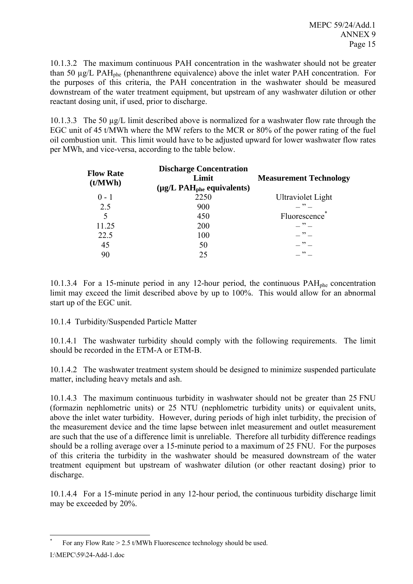10.1.3.2 The maximum continuous PAH concentration in the washwater should not be greater than 50  $\mu$ g/L PAH<sub>phe</sub> (phenanthrene equivalence) above the inlet water PAH concentration. For the purposes of this criteria, the PAH concentration in the washwater should be measured downstream of the water treatment equipment, but upstream of any washwater dilution or other reactant dosing unit, if used, prior to discharge.

10.1.3.3 The 50 µg/L limit described above is normalized for a washwater flow rate through the EGC unit of 45 t/MWh where the MW refers to the MCR or 80% of the power rating of the fuel oil combustion unit. This limit would have to be adjusted upward for lower washwater flow rates per MWh, and vice-versa, according to the table below.

| <b>Flow Rate</b><br>(t/MWh) | <b>Discharge Concentration</b><br>Limit<br>$(\mu g/L \text{ PAH}_{\text{phe}})$ equivalents) | <b>Measurement Technology</b> |  |  |
|-----------------------------|----------------------------------------------------------------------------------------------|-------------------------------|--|--|
| $0 - 1$                     | 2250                                                                                         | <b>Ultraviolet Light</b>      |  |  |
| 2.5                         | 900                                                                                          | $\overline{\phantom{1}}$      |  |  |
| 5                           | 450                                                                                          | Fluorescence                  |  |  |
| 11.25                       | 200                                                                                          | $\rightarrow$                 |  |  |
| 22.5                        | 100                                                                                          | $\cdot$ $\cdot$ $\cdot$       |  |  |
| 45                          | 50                                                                                           | $\overline{\phantom{1}}$      |  |  |
| 90                          | 25                                                                                           | $\rightarrow$                 |  |  |

10.1.3.4 For a 15-minute period in any 12-hour period, the continuous PAHphe concentration limit may exceed the limit described above by up to 100%. This would allow for an abnormal start up of the EGC unit.

10.1.4 Turbidity/Suspended Particle Matter

10.1.4.1 The washwater turbidity should comply with the following requirements. The limit should be recorded in the ETM-A or ETM-B.

10.1.4.2 The washwater treatment system should be designed to minimize suspended particulate matter, including heavy metals and ash.

10.1.4.3 The maximum continuous turbidity in washwater should not be greater than 25 FNU (formazin nephlometric units) or 25 NTU (nephlometric turbidity units) or equivalent units, above the inlet water turbidity. However, during periods of high inlet turbidity, the precision of the measurement device and the time lapse between inlet measurement and outlet measurement are such that the use of a difference limit is unreliable. Therefore all turbidity difference readings should be a rolling average over a 15-minute period to a maximum of 25 FNU. For the purposes of this criteria the turbidity in the washwater should be measured downstream of the water treatment equipment but upstream of washwater dilution (or other reactant dosing) prior to discharge.

10.1.4.4 For a 15-minute period in any 12-hour period, the continuous turbidity discharge limit may be exceeded by 20%.

 $\overline{a}$ \* For any Flow Rate > 2.5 t/MWh Fluorescence technology should be used.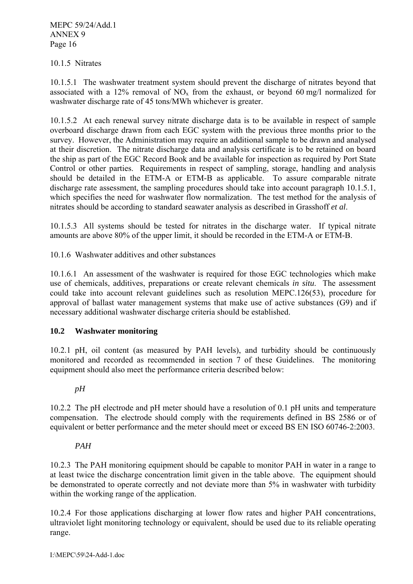### 10.1.5 Nitrates

10.1.5.1 The washwater treatment system should prevent the discharge of nitrates beyond that associated with a 12% removal of  $NO_x$  from the exhaust, or beyond 60 mg/l normalized for washwater discharge rate of 45 tons/MWh whichever is greater.

10.1.5.2 At each renewal survey nitrate discharge data is to be available in respect of sample overboard discharge drawn from each EGC system with the previous three months prior to the survey. However, the Administration may require an additional sample to be drawn and analysed at their discretion. The nitrate discharge data and analysis certificate is to be retained on board the ship as part of the EGC Record Book and be available for inspection as required by Port State Control or other parties. Requirements in respect of sampling, storage, handling and analysis should be detailed in the ETM-A or ETM-B as applicable. To assure comparable nitrate discharge rate assessment, the sampling procedures should take into account paragraph 10.1.5.1, which specifies the need for washwater flow normalization. The test method for the analysis of nitrates should be according to standard seawater analysis as described in Grasshoff *et al*.

10.1.5.3 All systems should be tested for nitrates in the discharge water. If typical nitrate amounts are above 80% of the upper limit, it should be recorded in the ETM-A or ETM-B.

10.1.6 Washwater additives and other substances

10.1.6.1 An assessment of the washwater is required for those EGC technologies which make use of chemicals, additives, preparations or create relevant chemicals *in situ*. The assessment could take into account relevant guidelines such as resolution MEPC.126(53), procedure for approval of ballast water management systems that make use of active substances (G9) and if necessary additional washwater discharge criteria should be established.

## **10.2 Washwater monitoring**

10.2.1 pH, oil content (as measured by PAH levels), and turbidity should be continuously monitored and recorded as recommended in section 7 of these Guidelines. The monitoring equipment should also meet the performance criteria described below:

## *pH*

10.2.2 The pH electrode and pH meter should have a resolution of 0.1 pH units and temperature compensation. The electrode should comply with the requirements defined in BS 2586 or of equivalent or better performance and the meter should meet or exceed BS EN ISO 60746-2:2003.

### *PAH*

10.2.3 The PAH monitoring equipment should be capable to monitor PAH in water in a range to at least twice the discharge concentration limit given in the table above. The equipment should be demonstrated to operate correctly and not deviate more than 5% in washwater with turbidity within the working range of the application.

10.2.4 For those applications discharging at lower flow rates and higher PAH concentrations, ultraviolet light monitoring technology or equivalent, should be used due to its reliable operating range.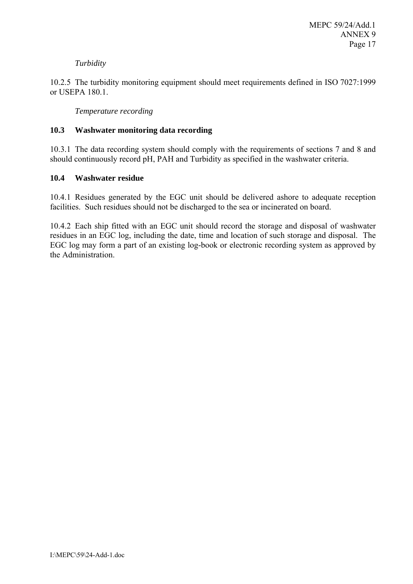## *Turbidity*

10.2.5 The turbidity monitoring equipment should meet requirements defined in ISO 7027:1999 or USEPA 180.1.

*Temperature recording* 

### **10.3 Washwater monitoring data recording**

10.3.1 The data recording system should comply with the requirements of sections 7 and 8 and should continuously record pH, PAH and Turbidity as specified in the washwater criteria.

### **10.4 Washwater residue**

10.4.1 Residues generated by the EGC unit should be delivered ashore to adequate reception facilities. Such residues should not be discharged to the sea or incinerated on board.

10.4.2 Each ship fitted with an EGC unit should record the storage and disposal of washwater residues in an EGC log, including the date, time and location of such storage and disposal. The EGC log may form a part of an existing log-book or electronic recording system as approved by the Administration.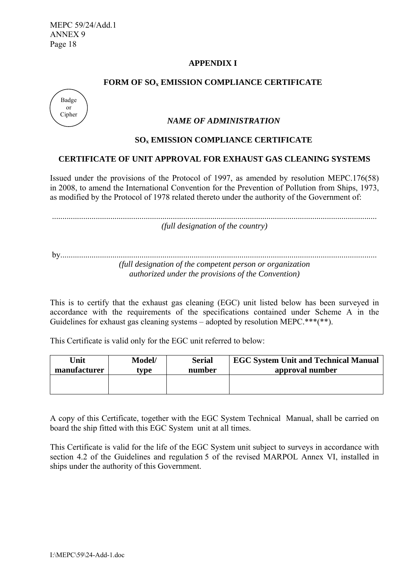## **APPENDIX I**

### FORM OF SO<sub>x</sub> EMISSION COMPLIANCE CERTIFICATE



### *NAME OF ADMINISTRATION*

### **SOx EMISSION COMPLIANCE CERTIFICATE**

### **CERTIFICATE OF UNIT APPROVAL FOR EXHAUST GAS CLEANING SYSTEMS**

Issued under the provisions of the Protocol of 1997, as amended by resolution MEPC.176(58) in 2008, to amend the International Convention for the Prevention of Pollution from Ships, 1973, as modified by the Protocol of 1978 related thereto under the authority of the Government of:

............................................................................................................................................................ *(full designation of the country)* 

by........................................................................................................................................................ *(full designation of the competent person or organization authorized under the provisions of the Convention)*

This is to certify that the exhaust gas cleaning (EGC) unit listed below has been surveyed in accordance with the requirements of the specifications contained under Scheme A in the Guidelines for exhaust gas cleaning systems – adopted by resolution MEPC.\*\*\*(\*\*).

This Certificate is valid only for the EGC unit referred to below:

| Unit         | Model/ | <b>Serial</b> | <b>EGC System Unit and Technical Manual</b> |
|--------------|--------|---------------|---------------------------------------------|
| manufacturer | tvpe   | number        | approval number                             |
|              |        |               |                                             |

A copy of this Certificate, together with the EGC System Technical Manual, shall be carried on board the ship fitted with this EGC System unit at all times.

This Certificate is valid for the life of the EGC System unit subject to surveys in accordance with section 4.2 of the Guidelines and regulation 5 of the revised MARPOL Annex VI, installed in ships under the authority of this Government.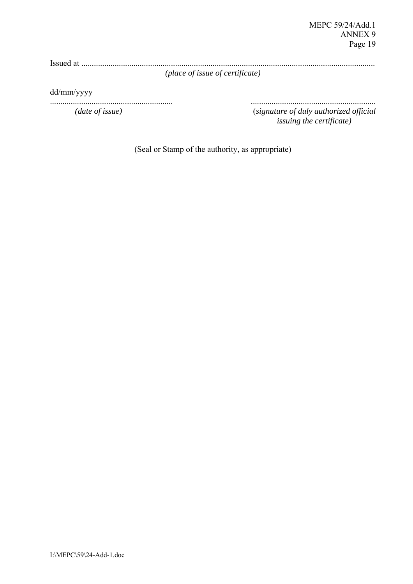Issued at .............................................................................................................................................

*(place of issue of certificate)*

dd/mm/yyyy

........................................................... ............................................................ *(date of issue)* (*signature of duly authorized official issuing the certificate)* 

(Seal or Stamp of the authority, as appropriate)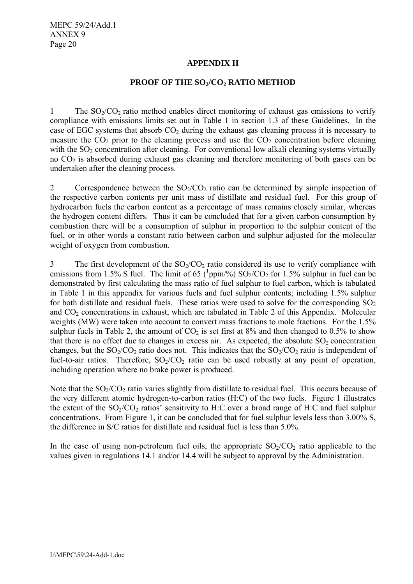## **APPENDIX II**

## **PROOF OF THE SO<sub>2</sub>/CO<sub>2</sub> RATIO METHOD**

1 The  $SO_2/CO_2$  ratio method enables direct monitoring of exhaust gas emissions to verify compliance with emissions limits set out in Table 1 in section 1.3 of these Guidelines. In the case of EGC systems that absorb  $CO<sub>2</sub>$  during the exhaust gas cleaning process it is necessary to measure the  $CO<sub>2</sub>$  prior to the cleaning process and use the  $CO<sub>2</sub>$  concentration before cleaning with the  $SO<sub>2</sub>$  concentration after cleaning. For conventional low alkali cleaning systems virtually no  $CO<sub>2</sub>$  is absorbed during exhaust gas cleaning and therefore monitoring of both gases can be undertaken after the cleaning process.

2 Correspondence between the  $SO_2/CO_2$  ratio can be determined by simple inspection of the respective carbon contents per unit mass of distillate and residual fuel. For this group of hydrocarbon fuels the carbon content as a percentage of mass remains closely similar, whereas the hydrogen content differs. Thus it can be concluded that for a given carbon consumption by combustion there will be a consumption of sulphur in proportion to the sulphur content of the fuel, or in other words a constant ratio between carbon and sulphur adjusted for the molecular weight of oxygen from combustion.

3 The first development of the  $SO<sub>2</sub>/CO<sub>2</sub>$  ratio considered its use to verify compliance with emissions from 1.5% S fuel. The limit of 65 ( $^{1}$ ppm/%) SO<sub>2</sub>/CO<sub>2</sub> for 1.5% sulphur in fuel can be demonstrated by first calculating the mass ratio of fuel sulphur to fuel carbon, which is tabulated in Table 1 in this appendix for various fuels and fuel sulphur contents; including 1.5% sulphur for both distillate and residual fuels. These ratios were used to solve for the corresponding  $SO<sub>2</sub>$ and  $CO<sub>2</sub>$  concentrations in exhaust, which are tabulated in Table 2 of this Appendix. Molecular weights (MW) were taken into account to convert mass fractions to mole fractions. For the 1.5% sulphur fuels in Table 2, the amount of  $CO<sub>2</sub>$  is set first at 8% and then changed to 0.5% to show that there is no effect due to changes in excess air. As expected, the absolute  $SO_2$  concentration changes, but the  $SO_2/CO_2$  ratio does not. This indicates that the  $SO_2/CO_2$  ratio is independent of fuel-to-air ratios. Therefore,  $SO_2/CO_2$  ratio can be used robustly at any point of operation, including operation where no brake power is produced.

Note that the  $SO<sub>2</sub>/CO<sub>2</sub>$  ratio varies slightly from distillate to residual fuel. This occurs because of the very different atomic hydrogen-to-carbon ratios (H:C) of the two fuels. Figure 1 illustrates the extent of the  $SO<sub>2</sub>/CO<sub>2</sub>$  ratios' sensitivity to H:C over a broad range of H:C and fuel sulphur concentrations. From Figure 1, it can be concluded that for fuel sulphur levels less than 3.00% S, the difference in S/C ratios for distillate and residual fuel is less than 5.0%.

In the case of using non-petroleum fuel oils, the appropriate  $SO_2/CO_2$  ratio applicable to the values given in regulations 14.1 and/or 14.4 will be subject to approval by the Administration.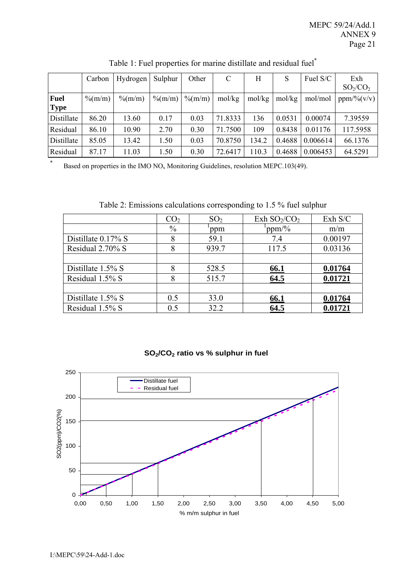|                            | Carbon     | Hydrogen          | Sulphur             | Other               | C       | Η      | S      | Fuel S/C | Exh<br>$SO_2/CO_2$ |
|----------------------------|------------|-------------------|---------------------|---------------------|---------|--------|--------|----------|--------------------|
| <b>Fuel</b><br><b>Type</b> | $\%$ (m/m) | $\frac{\%{m}}{m}$ | $\frac{\% (m/m)}{}$ | $\frac{\% (m/m)}{}$ | mol/kg  | mol/kg | mol/kg | mol/mol  | ppm/% (v/v)        |
| Distillate                 | 86.20      | 13.60             | 0.17                | 0.03                | 71.8333 | 136    | 0.0531 | 0.00074  | 7.39559            |
| Residual                   | 86.10      | 10.90             | 2.70                | 0.30                | 71.7500 | 109    | 0.8438 | 0.01176  | 117.5958           |
| Distillate                 | 85.05      | 13.42             | 1.50                | 0.03                | 70.8750 | 134.2  | 0.4688 | 0.006614 | 66.1376            |
| Residual                   | 87.17      | 11.03             | 1.50                | 0.30                | 72.6417 | 110.3  | 0.4688 | 0.006453 | 64.5291            |

# Table 1: Fuel properties for marine distillate and residual fuel\*

\* Based on properties in the IMO  $NO<sub>x</sub>$  Monitoring Guidelines, resolution MEPC.103(49).

Table 2: Emissions calculations corresponding to 1.5 % fuel sulphur

|                       | CO <sub>2</sub> | SO <sub>2</sub> | Exh $SO_2/CO_2$ | Exh S/C |
|-----------------------|-----------------|-----------------|-----------------|---------|
|                       | $\frac{0}{0}$   | ppm             | ppm/%           | m/m     |
| Distillate $0.17\%$ S | 8               | 59.1            | 7.4             | 0.00197 |
| Residual 2.70% S      | 8               | 939.7           | 117.5           | 0.03136 |
|                       |                 |                 |                 |         |
| Distillate 1.5% S     | 8               | 528.5           | 66.1            | 0.01764 |
| Residual 1.5% S       | 8               | 515.7           | 64.5            | 0.01721 |
|                       |                 |                 |                 |         |
| Distillate 1.5% S     | 0.5             | 33.0            | 66.1            | 0.01764 |
| Residual 1.5% S       | 0.5             | 32.2            | 64.5            | 0.01721 |

## **SO2/CO2 ratio vs % sulphur in fuel**

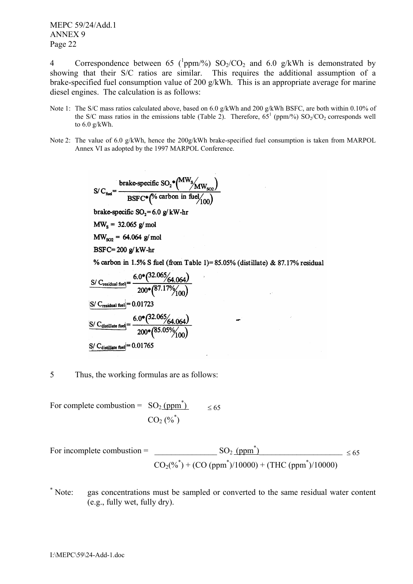4 Correspondence between 65 ( $^{1}$ ppm/%) SO<sub>2</sub>/CO<sub>2</sub> and 6.0 g/kWh is demonstrated by showing that their S/C ratios are similar. This requires the additional assumption of a brake-specified fuel consumption value of 200 g/kWh. This is an appropriate average for marine diesel engines. The calculation is as follows:

- Note 1: The S/C mass ratios calculated above, based on 6.0 g/kWh and 200 g/kWh BSFC, are both within 0.10% of the S/C mass ratios in the emissions table (Table 2). Therefore,  $65^1$  (ppm/%)  $SO_2/CO_2$  corresponds well to 6.0 g/kWh.
- Note 2: The value of 6.0 g/kWh, hence the 200g/kWh brake-specified fuel consumption is taken from MARPOL Annex VI as adopted by the 1997 MARPOL Conference.

& 87.17% residual

$$
S/C_{\text{fid}} = \frac{\text{brake-specific SO}_2^*(MW_{S}/MW_{SO2})}{\text{BSFC}^*(% \text{ carbon in fuel}/100)}
$$
  
brake-specific SO<sub>2</sub>= 6.0 g/kW-hr  

$$
MW_{SO2} = 64.064 \text{ g/mol}
$$

$$
MW_{SO2} = 64.064 \text{ g/mol}
$$

$$
BSFC = 200 \text{ g/kW-hr}
$$

$$
% \text{ carbon in 1.5% S fuel (from Table 1)=85.05% (distillate)}
$$

$$
S/C_{\text{reideal final}} = \frac{6.0^*(32.065/64.064)}{64.064}
$$

$$
\frac{\text{S/C_{residual fuel}}}{\text{C/C_{residual fuel}} = \frac{0.0^{4} \text{ (87.17%} / 64.064)}{200 * (87.17% / 100)}
$$
\n
$$
\frac{\text{S/C_{residual fuel}}}{\text{C/C_{distillate fuel}} = \frac{6.0^{4} (32.065 / 64.064)}{200 * (85.05% / 100)}
$$
\n
$$
\frac{\text{S/C_{distillate fuel}}}{\text{C/C_{distillate fuel}} = 0.01765}
$$

5 Thus, the working formulas are as follows:

For complete combustion =  $SO<sub>2</sub>$  (ppm<sup>\*</sup>)  $\leq 65$  $CO_{2}$  (%<sup>\*</sup>)

For incomplete combustion = 
$$
\frac{SO_2 \text{(ppm}^*)}{CO_2(\%^*) + (CO \text{(ppm}^*)/10000) + (THC \text{(ppm}^*)/10000)} \le 65
$$

\* Note: gas concentrations must be sampled or converted to the same residual water content (e.g., fully wet, fully dry).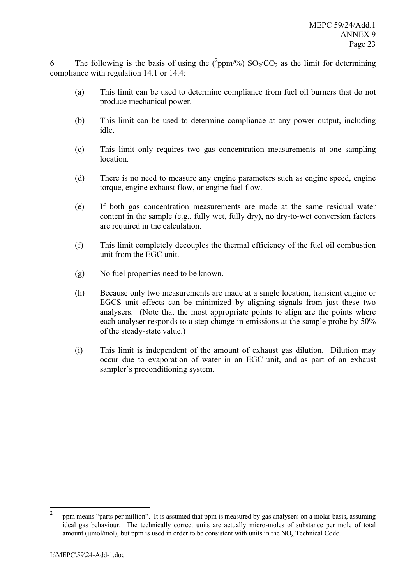6 The following is the basis of using the  $(^2$ ppm/%) SO<sub>2</sub>/CO<sub>2</sub> as the limit for determining compliance with regulation 14.1 or 14.4:

- (a) This limit can be used to determine compliance from fuel oil burners that do not produce mechanical power.
- (b) This limit can be used to determine compliance at any power output, including idle.
- (c) This limit only requires two gas concentration measurements at one sampling **location**
- (d) There is no need to measure any engine parameters such as engine speed, engine torque, engine exhaust flow, or engine fuel flow.
- (e) If both gas concentration measurements are made at the same residual water content in the sample (e.g., fully wet, fully dry), no dry-to-wet conversion factors are required in the calculation.
- (f) This limit completely decouples the thermal efficiency of the fuel oil combustion unit from the EGC unit.
- (g) No fuel properties need to be known.
- (h) Because only two measurements are made at a single location, transient engine or EGCS unit effects can be minimized by aligning signals from just these two analysers. (Note that the most appropriate points to align are the points where each analyser responds to a step change in emissions at the sample probe by 50% of the steady-state value.)
- (i) This limit is independent of the amount of exhaust gas dilution. Dilution may occur due to evaporation of water in an EGC unit, and as part of an exhaust sampler's preconditioning system.

 $\frac{1}{2}$  ppm means "parts per million". It is assumed that ppm is measured by gas analysers on a molar basis, assuming ideal gas behaviour. The technically correct units are actually micro-moles of substance per mole of total amount ( $\mu$ mol/mol), but ppm is used in order to be consistent with units in the NO<sub>x</sub> Technical Code.